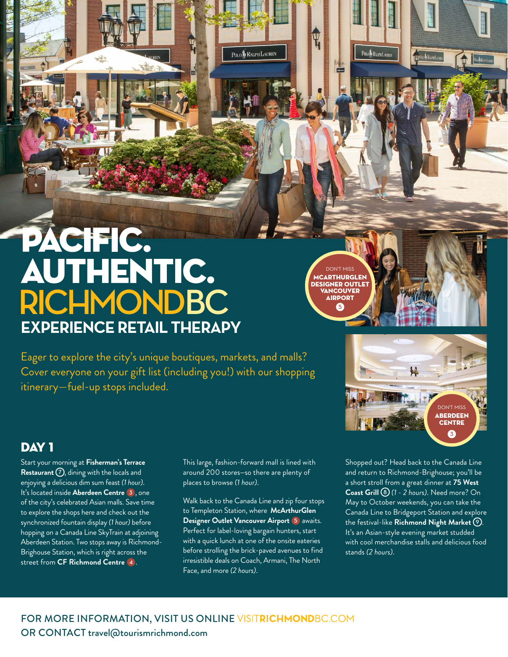## PACIFIC. **AUTHENTIC. RICHMONDBC EXPERIENCE RETAIL THERAPY**

Eager to explore the city's unique boutiques, markets, and malls? Cover everyone on your gift list (including you!) with our shopping itinerary—fuel-up stops included.

## DAY<sub>1</sub>

Start your morning at **Fisherman's Terrace Restaurant**  $\overline{7}$ , dining with the locals and enjoying a delicious dim sum feast *(1 hour)*. It's located inside **Aberdeen Centre 3** , one of the city's celebrated Asian malls. Save time to explore the shops here and check out the synchronized fountain display *(1 hour)* before hopping on a Canada Line SkyTrain at adjoining Aberdeen Station. Two stops away is Richmond-Brighouse Station, which is right across the street from **CF Richmond Centre 4** .

This large, fashion-forward mall is lined with around 200 stores—so there are plenty of places to browse *(1 hour)*.

POLO RALPH LAUREN

Walk back to the Canada Line and zip four stops to Templeton Station, where **McArthurGlen Designer Outlet Vancouver Airport 5** awaits. Perfect for label-loving bargain hunters, start with a quick lunch at one of the onsite eateries before strolling the brick-paved avenues to find irresistible deals on Coach, Armani, The North Face, and more *(2 hours)*.

DON'T MISS **MCARTHURGLEN** DESIGNER OUTLET VANCOUVER AIRPORT **5**

POLO RALPHLAUREN



DON'T MISS ABERDEEN CENTRE

FOR MORE INFORMATION, VISIT US ONLINE VISITRICHMONDBC.COM OR CONTACT travel@tourismrichmond.com